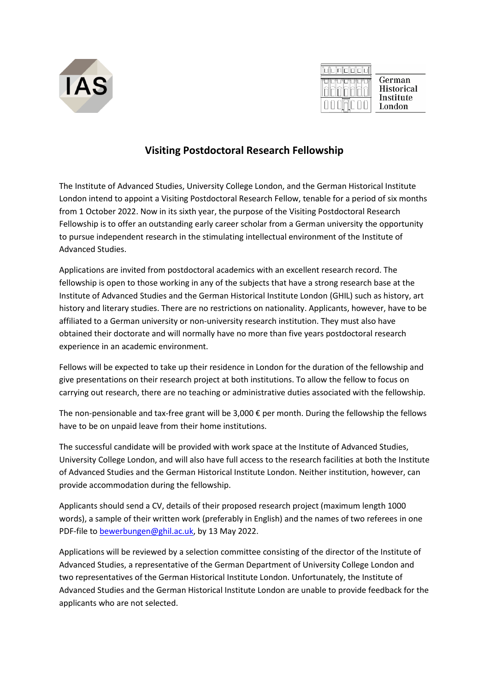



## **Visiting Postdoctoral Research Fellowship**

The Institute of Advanced Studies, University College London, and the German Historical Institute London intend to appoint a Visiting Postdoctoral Research Fellow, tenable for a period of six months from 1 October 2022. Now in its sixth year, the purpose of the Visiting Postdoctoral Research Fellowship is to offer an outstanding early career scholar from a German university the opportunity to pursue independent research in the stimulating intellectual environment of the Institute of Advanced Studies.

Applications are invited from postdoctoral academics with an excellent research record. The fellowship is open to those working in any of the subjects that have a strong research base at the Institute of Advanced Studies and the German Historical Institute London (GHIL) such as history, art history and literary studies. There are no restrictions on nationality. Applicants, however, have to be affiliated to a German university or non-university research institution. They must also have obtained their doctorate and will normally have no more than five years postdoctoral research experience in an academic environment.

Fellows will be expected to take up their residence in London for the duration of the fellowship and give presentations on their research project at both institutions. To allow the fellow to focus on carrying out research, there are no teaching or administrative duties associated with the fellowship.

The non-pensionable and tax-free grant will be 3,000 € per month. During the fellowship the fellows have to be on unpaid leave from their home institutions.

The successful candidate will be provided with work space at the Institute of Advanced Studies, University College London, and will also have full access to the research facilities at both the Institute of Advanced Studies and the German Historical Institute London. Neither institution, however, can provide accommodation during the fellowship.

Applicants should send a CV, details of their proposed research project (maximum length 1000 words), a sample of their written work (preferably in English) and the names of two referees in one PDF-file to [bewerbungen@ghil.ac.uk,](mailto:bewerbungen@ghil.ac.uk) by 13 May 2022.

Applications will be reviewed by a selection committee consisting of the director of the Institute of Advanced Studies, a representative of the German Department of University College London and two representatives of the German Historical Institute London. Unfortunately, the Institute of Advanced Studies and the German Historical Institute London are unable to provide feedback for the applicants who are not selected.